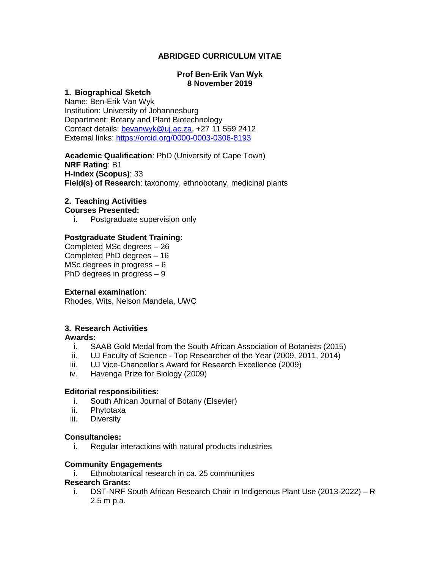# **ABRIDGED CURRICULUM VITAE**

### **Prof Ben-Erik Van Wyk 8 November 2019**

### **1. Biographical Sketch**

Name: Ben-Erik Van Wyk Institution: University of Johannesburg Department: Botany and Plant Biotechnology Contact details: [bevanwyk@uj.ac.za,](mailto:bevanwyk@uj.ac.za) +27 11 559 2412 External links:<https://orcid.org/0000-0003-0306-8193>

**Academic Qualification**: PhD (University of Cape Town) **NRF Rating**: B1 **H-index (Scopus)**: 33 **Field(s) of Research**: taxonomy, ethnobotany, medicinal plants

# **2. Teaching Activities**

**Courses Presented:**

i. Postgraduate supervision only

## **Postgraduate Student Training:**

Completed MSc degrees – 26 Completed PhD degrees – 16 MSc degrees in progress – 6 PhD degrees in progress – 9

## **External examination**:

Rhodes, Wits, Nelson Mandela, UWC

## **3. Research Activities**

#### **Awards:**

- i. SAAB Gold Medal from the South African Association of Botanists (2015)
- ii. UJ Faculty of Science Top Researcher of the Year (2009, 2011, 2014)
- iii. UJ Vice-Chancellor's Award for Research Excellence (2009)
- iv. Havenga Prize for Biology (2009)

## **Editorial responsibilities:**

- i. South African Journal of Botany (Elsevier)
- ii. Phytotaxa
- iii. Diversity

## **Consultancies:**

i. Regular interactions with natural products industries

## **Community Engagements**

i. Ethnobotanical research in ca. 25 communities

#### **Research Grants:**

i. DST-NRF South African Research Chair in Indigenous Plant Use (2013-2022) – R 2.5 m p.a.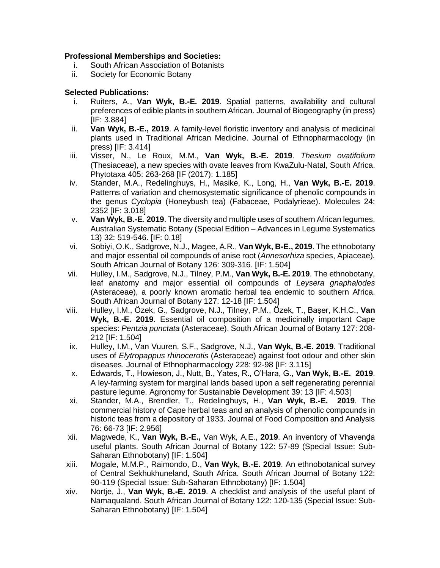# **Professional Memberships and Societies:**

- i. South African Association of Botanists
- ii. Society for Economic Botany

# **Selected Publications:**

- i. Ruiters, A., **Van Wyk, B.-E. 2019**. Spatial patterns, availability and cultural preferences of edible plants in southern African. Journal of Biogeography (in press) [IF: 3.884]
- ii. **Van Wyk, B.-E., 2019**. A family-level floristic inventory and analysis of medicinal plants used in Traditional African Medicine. Journal of Ethnopharmacology (in press) [IF: 3.414]
- iii. Visser, N., Le Roux, M.M., **Van Wyk, B.-E. 2019**. *Thesium ovatifolium* (Thesiaceae), a new species with ovate leaves from KwaZulu-Natal, South Africa. Phytotaxa 405: 263-268 [IF (2017): 1.185]
- iv. Stander, M.A., Redelinghuys, H., Masike, K., Long, H., **Van Wyk, B.-E. 2019**. Patterns of variation and chemosystematic significance of phenolic compounds in the genus *Cyclopia* (Honeybush tea) (Fabaceae, Podalyrieae). Molecules 24: 2352 [IF: 3.018]
- v. **Van Wyk, B.-E**. **2019**. The diversity and multiple uses of southern African legumes. Australian Systematic Botany (Special Edition – Advances in Legume Systematics 13) 32: 519-546. [IF: 0.18]
- vi. Sobiyi, O.K., Sadgrove, N.J., Magee, A.R., **Van Wyk, B-E., 2019**. The ethnobotany and major essential oil compounds of anise root (*Annesorhiza* species, Apiaceae)*.* South African Journal of Botany 126: 309-316. [IF: 1.504]
- vii. Hulley, I.M., Sadgrove, N.J., Tilney, P.M., **Van Wyk, B.-E. 2019**. The ethnobotany, leaf anatomy and major essential oil compounds of *Leysera gnaphalodes* (Asteraceae), a poorly known aromatic herbal tea endemic to southern Africa. South African Journal of Botany 127: 12-18 [IF: 1.504]
- viii. Hulley, I.M., Özek, G., Sadgrove, N.J., Tilney, P.M., Özek, T., Başer, K.H.C., **Van Wyk, B.-E. 2019**. Essential oil composition of a medicinally important Cape species: *Pentzia punctata* (Asteraceae). South African Journal of Botany 127: 208- 212 [IF: 1.504]
- ix. Hulley, I.M., Van Vuuren, S.F., Sadgrove, N.J., **Van Wyk, B.-E. 2019**. Traditional uses of *Elytropappus rhinocerotis* (Asteraceae) against foot odour and other skin diseases. Journal of Ethnopharmacology 228: 92-98 [IF: 3.115]
- x. Edwards, T., Howieson, J., Nutt, B., Yates, R., O'Hara, G., **Van Wyk, B.-E. 2019**. A ley-farming system for marginal lands based upon a self regenerating perennial pasture legume. Agronomy for Sustainable Development 39: 13 [IF: 4.503]
- xi. Stander, M.A., Brendler, T., Redelinghuys, H., **Van Wyk, B.-E. 2019**. The commercial history of Cape herbal teas and an analysis of phenolic compounds in historic teas from a depository of 1933. Journal of Food Composition and Analysis 76: 66-73 [IF: 2.956]
- xii. Magwede, K., **Van Wyk, B.-E.,** Van Wyk, A.E., **2019**. An inventory of Vhavenḓa useful plants. South African Journal of Botany 122: 57-89 (Special Issue: Sub-Saharan Ethnobotany) [IF: 1.504]
- xiii. Mogale, M.M.P., Raimondo, D., **Van Wyk, B.-E. 2019**. An ethnobotanical survey of Central Sekhukhuneland, South Africa. South African Journal of Botany 122: 90-119 (Special Issue: Sub-Saharan Ethnobotany) [IF: 1.504]
- xiv. Nortje, J., **Van Wyk, B.-E. 2019**. A checklist and analysis of the useful plant of Namaqualand. South African Journal of Botany 122: 120-135 (Special Issue: Sub-Saharan Ethnobotany) [IF: 1.504]